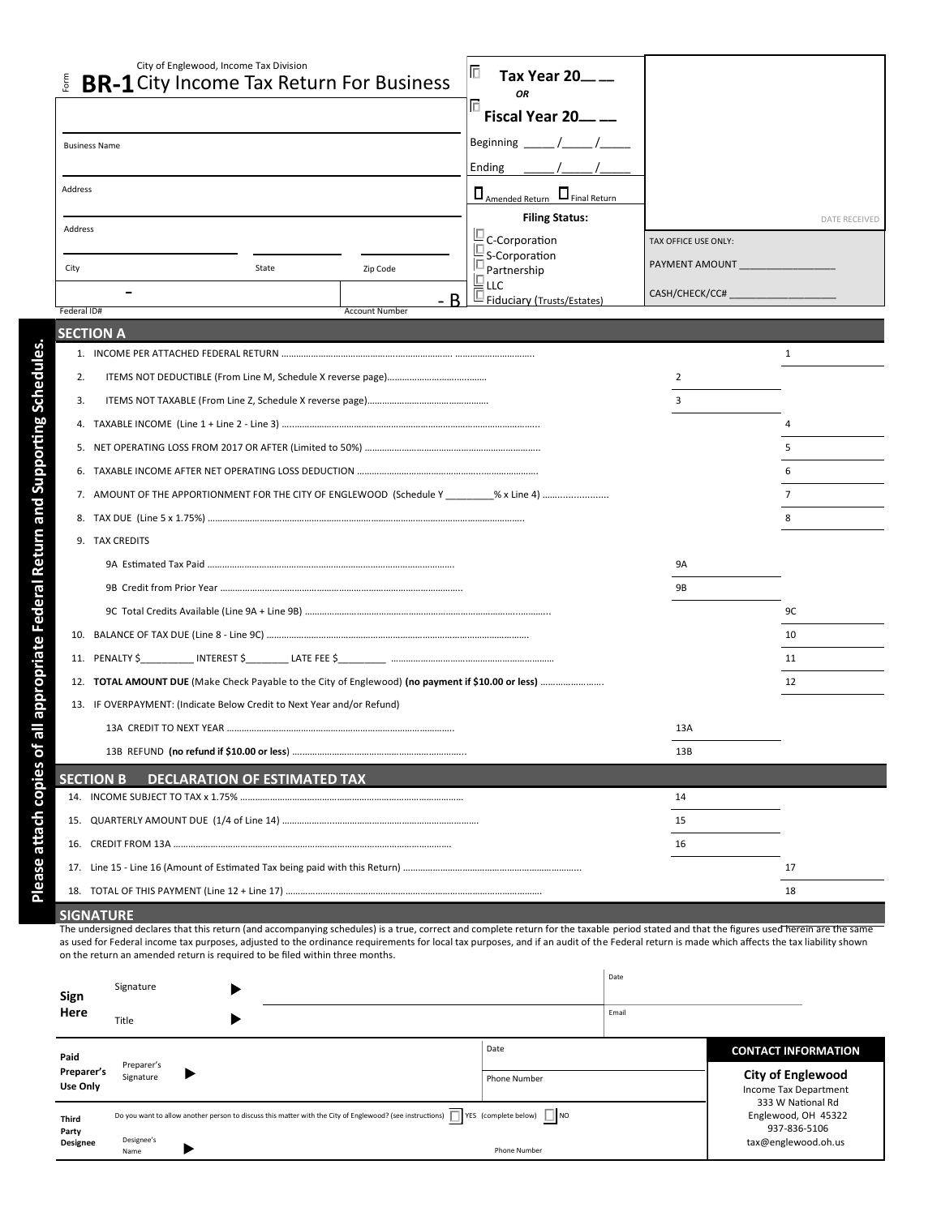|                                                         | City of Englewood, Income Tax Division                                                                                                                                                                        | 旧<br>Tax Year 20 <sub>-1</sub>            |                      |                      |  |  |
|---------------------------------------------------------|---------------------------------------------------------------------------------------------------------------------------------------------------------------------------------------------------------------|-------------------------------------------|----------------------|----------------------|--|--|
| Form                                                    | <b>BR-1</b> City Income Tax Return For Business                                                                                                                                                               | <b>OR</b>                                 |                      |                      |  |  |
|                                                         |                                                                                                                                                                                                               | Fiscal Year 20___ __                      |                      |                      |  |  |
|                                                         | <b>Business Name</b>                                                                                                                                                                                          | Beginning                                 |                      |                      |  |  |
|                                                         |                                                                                                                                                                                                               | Ending                                    |                      |                      |  |  |
| Address                                                 |                                                                                                                                                                                                               | $\Box$ Amended Return $\Box$ Final Return |                      |                      |  |  |
| Address                                                 |                                                                                                                                                                                                               | <b>Filing Status:</b>                     |                      | <b>DATE RECEIVED</b> |  |  |
|                                                         |                                                                                                                                                                                                               | C-Corporation                             | TAX OFFICE USE ONLY: |                      |  |  |
| City                                                    | State<br>Zip Code                                                                                                                                                                                             | S-Corporation<br>Partnership              | PAYMENT AMOUNT       |                      |  |  |
|                                                         | - R                                                                                                                                                                                                           | LLC                                       | CASH/CHECK/CC#       |                      |  |  |
| Federal ID#                                             | <b>Account Number</b>                                                                                                                                                                                         | Fiduciary (Trusts/Estates)                |                      |                      |  |  |
|                                                         | <b>SECTION A</b>                                                                                                                                                                                              |                                           |                      |                      |  |  |
|                                                         |                                                                                                                                                                                                               |                                           |                      | 1                    |  |  |
| 2.                                                      |                                                                                                                                                                                                               |                                           | 2                    |                      |  |  |
| 3.                                                      |                                                                                                                                                                                                               |                                           | 3                    |                      |  |  |
| 4.                                                      |                                                                                                                                                                                                               |                                           |                      |                      |  |  |
| 5.                                                      |                                                                                                                                                                                                               |                                           |                      | 5                    |  |  |
| 6.                                                      |                                                                                                                                                                                                               |                                           |                      |                      |  |  |
|                                                         | 7. AMOUNT OF THE APPORTIONMENT FOR THE CITY OF ENGLEWOOD (Schedule Y % x Line 4)                                                                                                                              |                                           |                      |                      |  |  |
|                                                         | 8.                                                                                                                                                                                                            |                                           |                      | 8                    |  |  |
|                                                         | 9. TAX CREDITS                                                                                                                                                                                                |                                           |                      |                      |  |  |
|                                                         | 9A                                                                                                                                                                                                            |                                           |                      |                      |  |  |
|                                                         | 9B                                                                                                                                                                                                            |                                           |                      |                      |  |  |
|                                                         |                                                                                                                                                                                                               |                                           |                      | 9C                   |  |  |
| 10.                                                     |                                                                                                                                                                                                               |                                           |                      | 10                   |  |  |
| 11.                                                     |                                                                                                                                                                                                               |                                           |                      | 11                   |  |  |
| 12.                                                     | <b>TOTAL AMOUNT DUE</b> (Make Check Payable to the City of Englewood) (no payment if \$10.00 or less)                                                                                                         |                                           |                      | 12                   |  |  |
|                                                         | 13. IF OVERPAYMENT: (Indicate Below Credit to Next Year and/or Refund)                                                                                                                                        |                                           |                      |                      |  |  |
|                                                         | 13A                                                                                                                                                                                                           |                                           |                      |                      |  |  |
|                                                         |                                                                                                                                                                                                               |                                           | 13B                  |                      |  |  |
| <b>DECLARATION OF ESTIMATED TAX</b><br><b>SECTION B</b> |                                                                                                                                                                                                               |                                           |                      |                      |  |  |
|                                                         |                                                                                                                                                                                                               |                                           | 14                   |                      |  |  |
|                                                         |                                                                                                                                                                                                               |                                           | 15                   |                      |  |  |
| 16.                                                     |                                                                                                                                                                                                               |                                           | 16                   |                      |  |  |
| 17.                                                     |                                                                                                                                                                                                               |                                           |                      | 17                   |  |  |
|                                                         |                                                                                                                                                                                                               |                                           |                      | 18                   |  |  |
|                                                         | <b>SIGNATURE</b><br>The undersigned declares that this return (and accompanying schedules) is a true, correct and complete return for the taxable period stated and that the figures used herein are the same |                                           |                      |                      |  |  |

as used for Federal income tax purposes, adjusted to the ordinance requirements for local tax purposes, and if an audit of the Federal return is made which affects the tax liability shown on the return an amended return is required to be filed within three months.

| Sign<br>Here                      | Signature<br>Title      |   |                                                                                                                                                                 |                      | Date<br>Email |                                                                                 |  |
|-----------------------------------|-------------------------|---|-----------------------------------------------------------------------------------------------------------------------------------------------------------------|----------------------|---------------|---------------------------------------------------------------------------------|--|
| Paid<br>Preparer's<br>Use Only    | Preparer's<br>Signature |   |                                                                                                                                                                 | Date<br>Phone Number |               | <b>CONTACT INFORMATION</b><br><b>City of Englewood</b><br>Income Tax Department |  |
| <b>Third</b><br>Party<br>Designee | Designee's<br>Name      | ▶ | Do you want to allow another person to discuss this matter with the City of Englewood? (see instructions) $\Box$ YES (complete below) $\Box$ NO<br>Phone Number |                      |               | 333 W National Rd<br>Englewood, OH 45322<br>937-836-5106<br>tax@englewood.oh.us |  |